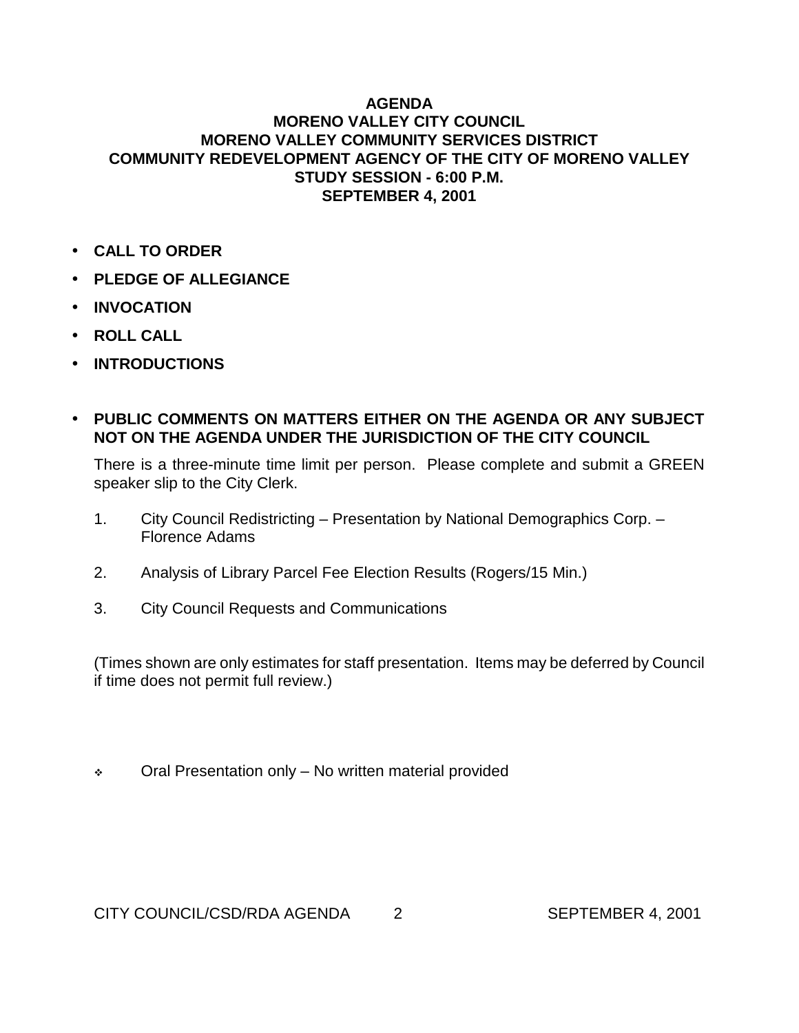## **AGENDA MORENO VALLEY CITY COUNCIL MORENO VALLEY COMMUNITY SERVICES DISTRICT COMMUNITY REDEVELOPMENT AGENCY OF THE CITY OF MORENO VALLEY STUDY SESSION - 6:00 P.M. SEPTEMBER 4, 2001**

- **CALL TO ORDER**
- **PLEDGE OF ALLEGIANCE**
- **INVOCATION**
- **ROLL CALL**
- **INTRODUCTIONS**
- **PUBLIC COMMENTS ON MATTERS EITHER ON THE AGENDA OR ANY SUBJECT NOT ON THE AGENDA UNDER THE JURISDICTION OF THE CITY COUNCIL**

There is a three-minute time limit per person. Please complete and submit a GREEN speaker slip to the City Clerk.

- 1. City Council Redistricting Presentation by National Demographics Corp. Florence Adams
- 2. Analysis of Library Parcel Fee Election Results (Rogers/15 Min.)
- 3. City Council Requests and Communications

(Times shown are only estimates for staff presentation. Items may be deferred by Council if time does not permit full review.)

\* Oral Presentation only – No written material provided